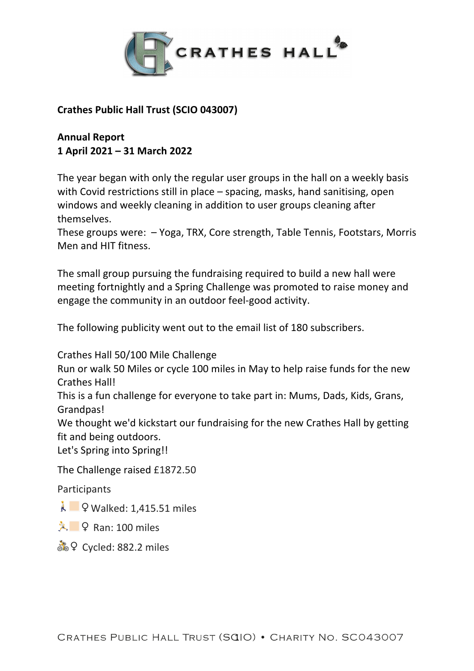

## **Crathes Public Hall Trust (SCIO 043007)**

## **Annual Report 1 April 2021 – 31 March 2022**

The year began with only the regular user groups in the hall on a weekly basis with Covid restrictions still in place – spacing, masks, hand sanitising, open windows and weekly cleaning in addition to user groups cleaning after themselves.

These groups were: – Yoga, TRX, Core strength, Table Tennis, Footstars, Morris Men and HIT fitness.

The small group pursuing the fundraising required to build a new hall were meeting fortnightly and a Spring Challenge was promoted to raise money and engage the community in an outdoor feel-good activity.

The following publicity went out to the email list of 180 subscribers.

Crathes Hall 50/100 Mile Challenge

Run or walk 50 Miles or cycle 100 miles in May to help raise funds for the new Crathes Hall!

This is a fun challenge for everyone to take part in: Mums, Dads, Kids, Grans, Grandpas!

We thought we'd kickstart our fundraising for the new Crathes Hall by getting fit and being outdoors.

Let's Spring into Spring!!

The Challenge raised £1872.50

Participants

Å **E** ♀ Walked: 1.415.51 miles

 $\lambda$   $\sqrt{2}$  Ran: 100 miles

ैं ♀ Cycled: 882.2 miles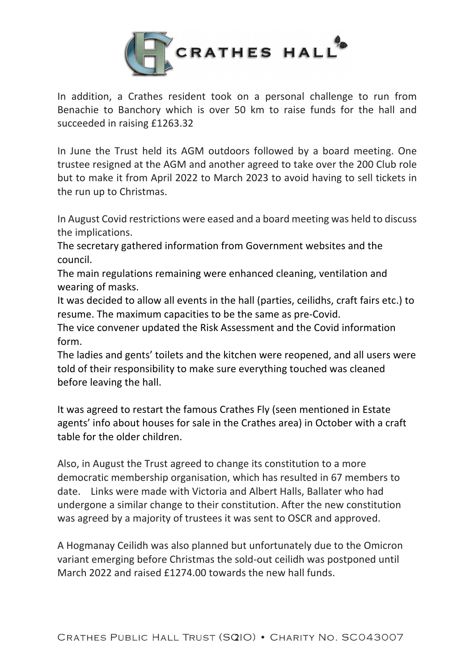

In addition, a Crathes resident took on a personal challenge to run from Benachie to Banchory which is over 50 km to raise funds for the hall and succeeded in raising £1263.32

In June the Trust held its AGM outdoors followed by a board meeting. One trustee resigned at the AGM and another agreed to take over the 200 Club role but to make it from April 2022 to March 2023 to avoid having to sell tickets in the run up to Christmas.

In August Covid restrictions were eased and a board meeting was held to discuss the implications.

The secretary gathered information from Government websites and the council.

The main regulations remaining were enhanced cleaning, ventilation and wearing of masks.

It was decided to allow all events in the hall (parties, ceilidhs, craft fairs etc.) to resume. The maximum capacities to be the same as pre-Covid.

The vice convener updated the Risk Assessment and the Covid information form.

The ladies and gents' toilets and the kitchen were reopened, and all users were told of their responsibility to make sure everything touched was cleaned before leaving the hall.

It was agreed to restart the famous Crathes Fly (seen mentioned in Estate agents' info about houses for sale in the Crathes area) in October with a craft table for the older children.

Also, in August the Trust agreed to change its constitution to a more democratic membership organisation, which has resulted in 67 members to date. Links were made with Victoria and Albert Halls, Ballater who had undergone a similar change to their constitution. After the new constitution was agreed by a majority of trustees it was sent to OSCR and approved.

A Hogmanay Ceilidh was also planned but unfortunately due to the Omicron variant emerging before Christmas the sold-out ceilidh was postponed until March 2022 and raised £1274.00 towards the new hall funds.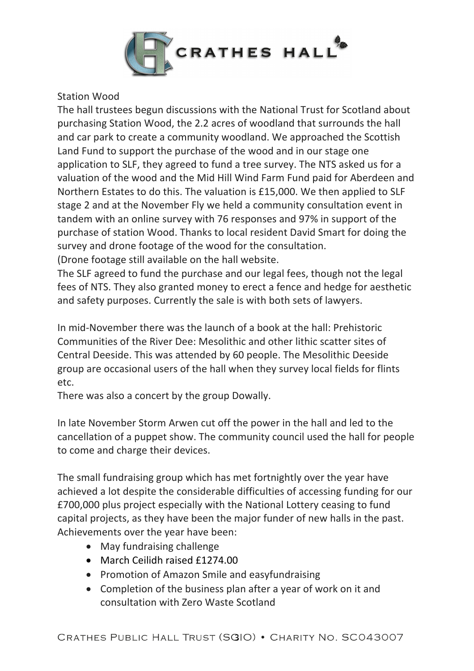

## Station Wood

The hall trustees begun discussions with the National Trust for Scotland about purchasing Station Wood, the 2.2 acres of woodland that surrounds the hall and car park to create a community woodland. We approached the Scottish Land Fund to support the purchase of the wood and in our stage one application to SLF, they agreed to fund a tree survey. The NTS asked us for a valuation of the wood and the Mid Hill Wind Farm Fund paid for Aberdeen and Northern Estates to do this. The valuation is £15,000. We then applied to SLF stage 2 and at the November Fly we held a community consultation event in tandem with an online survey with 76 responses and 97% in support of the purchase of station Wood. Thanks to local resident David Smart for doing the survey and drone footage of the wood for the consultation. (Drone footage still available on the hall website.

The SLF agreed to fund the purchase and our legal fees, though not the legal fees of NTS. They also granted money to erect a fence and hedge for aesthetic and safety purposes. Currently the sale is with both sets of lawyers.

In mid-November there was the launch of a book at the hall: Prehistoric Communities of the River Dee: Mesolithic and other lithic scatter sites of Central Deeside. This was attended by 60 people. The Mesolithic Deeside group are occasional users of the hall when they survey local fields for flints etc.

There was also a concert by the group Dowally.

In late November Storm Arwen cut off the power in the hall and led to the cancellation of a puppet show. The community council used the hall for people to come and charge their devices.

The small fundraising group which has met fortnightly over the year have achieved a lot despite the considerable difficulties of accessing funding for our £700,000 plus project especially with the National Lottery ceasing to fund capital projects, as they have been the major funder of new halls in the past. Achievements over the year have been:

- May fundraising challenge
- March Ceilidh raised £1274.00
- Promotion of Amazon Smile and easyfundraising
- Completion of the business plan after a year of work on it and consultation with Zero Waste Scotland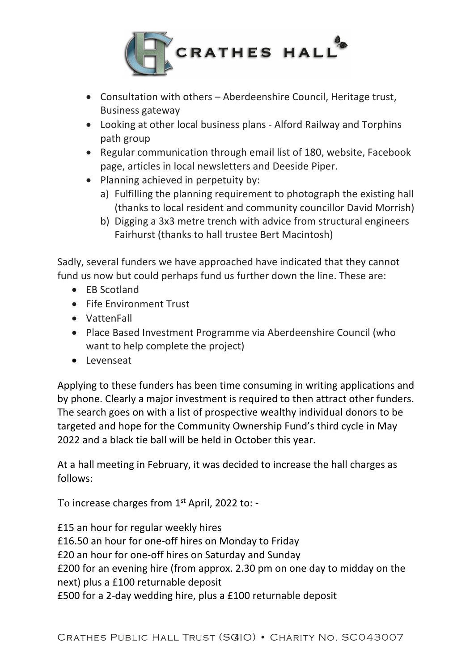

- Consultation with others Aberdeenshire Council, Heritage trust, Business gateway
- Looking at other local business plans Alford Railway and Torphins path group
- Regular communication through email list of 180, website, Facebook page, articles in local newsletters and Deeside Piper.
- Planning achieved in perpetuity by:
	- a) Fulfilling the planning requirement to photograph the existing hall (thanks to local resident and community councillor David Morrish)
	- b) Digging a 3x3 metre trench with advice from structural engineers Fairhurst (thanks to hall trustee Bert Macintosh)

Sadly, several funders we have approached have indicated that they cannot fund us now but could perhaps fund us further down the line. These are:

- EB Scotland
- Fife Environment Trust
- VattenFall
- Place Based Investment Programme via Aberdeenshire Council (who want to help complete the project)
- Levenseat

Applying to these funders has been time consuming in writing applications and by phone. Clearly a major investment is required to then attract other funders. The search goes on with a list of prospective wealthy individual donors to be targeted and hope for the Community Ownership Fund's third cycle in May 2022 and a black tie ball will be held in October this year.

At a hall meeting in February, it was decided to increase the hall charges as follows:

To increase charges from 1<sup>st</sup> April, 2022 to: -

£15 an hour for regular weekly hires £16.50 an hour for one-off hires on Monday to Friday £20 an hour for one-off hires on Saturday and Sunday £200 for an evening hire (from approx. 2.30 pm on one day to midday on the next) plus a £100 returnable deposit £500 for a 2-day wedding hire, plus a £100 returnable deposit